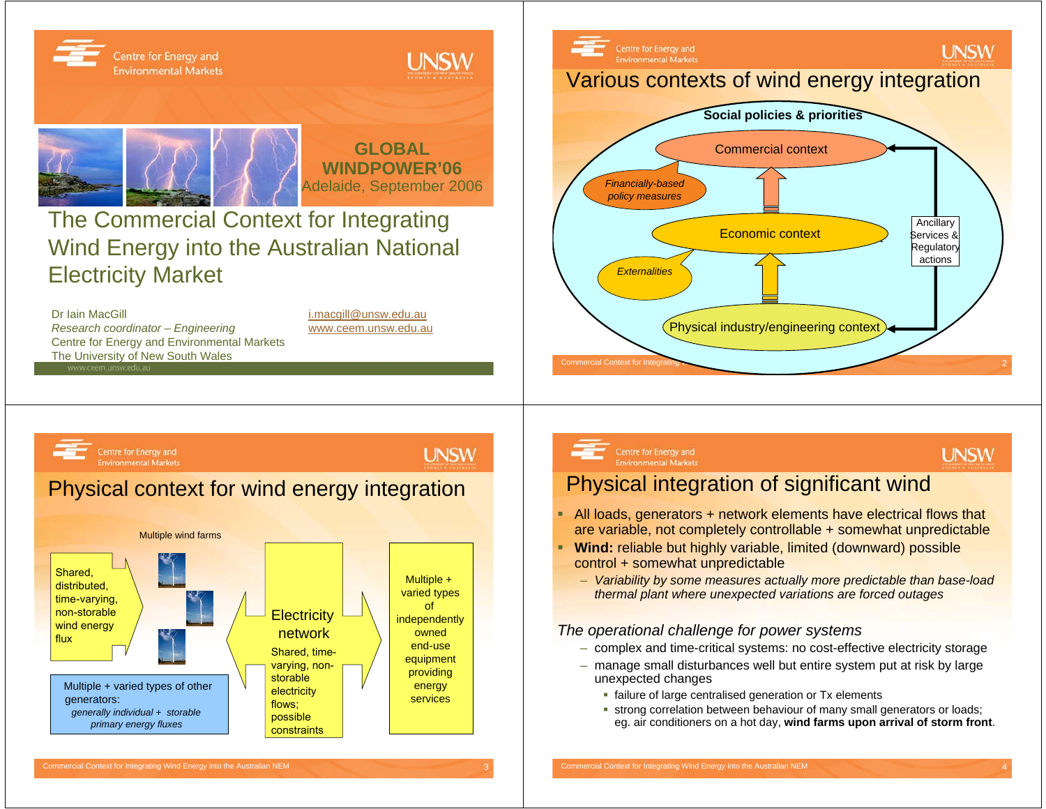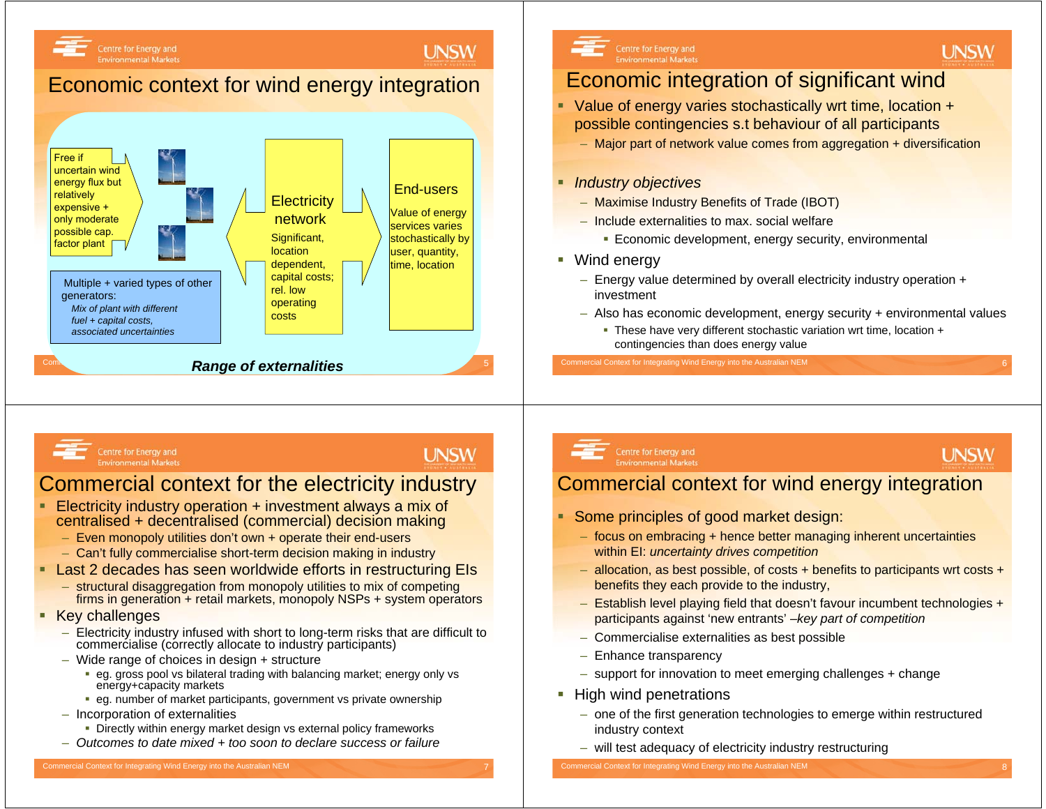### **UNSW**

# Economic context for wind energy integration





# Economic integration of significant wind

- Value of energy varies stochastically wrt time, location + possible contingencies s.t behaviour of all participants
	- Major part of network value comes from aggregation + diversification

#### ٠ *Industry objectives*

- Maximise Industry Benefits of Trade (IBOT)
- Include externalities to max. social welfare
	- **Economic development, energy security, environmental**

### ■ Wind energy

- Energy value determined by overall electricity industry operation + investment
- Also has economic development, energy security + environmental values
	- These have very different stochastic variation wrt time, location + contingencies than does energy value

#### Centre for Energy and **Environmental Markets**

Centre for Energy and

**Environmental Markets** 

## **UNSW**

# Commercial context for the electricity industry

- Electricity industry operation + investment always a mix of centralised + decentralised (commercial) decision making
	- Even monopoly utilities don't own + operate their end-users
	- Can't fully commercialise short-term decision making in industry
- Last 2 decades has seen worldwide efforts in restructuring EIs
	- structural disaggregation from monopoly utilities to mix of competing firms in generation + retail markets, monopoly NSPs + system operators
- Key challenges
	- Electricity industry infused with short to long-term risks that are difficult to commercialise (correctly allocate to industry participants)
	- Wide range of choices in design + structure
		- eg. gross pool vs bilateral trading with balancing market; energy only vs energy+capacity markets
		- eg. number of market participants, government vs private ownership
	- Incorporation of externalities
		- Directly within energy market design vs external policy frameworks
	- *Outcomes to date mixed + too soon to declare success or failure*

# Centre for Energy and<br>Environmental Markets

# **UNSW**

**UNSW** 

### Commercial context for wind energy integration

- Some principles of good market design:
	- focus on embracing + hence better managing inherent uncertainties within EI: *uncertainty drives competition*
	- allocation, as best possible, of costs + benefits to participants wrt costs + benefits they each provide to the industry,
	- Establish level playing field that doesn't favour incumbent technologies + participants against 'new entrants' –*key part of competition*
	- –Commercialise externalities as best possible
	- Enhance transparency
	- support for innovation to meet emerging challenges + change
- **High wind penetrations** 
	- one of the first generation technologies to emerge within restructured industry context
	- will test adequacy of electricity industry restructuring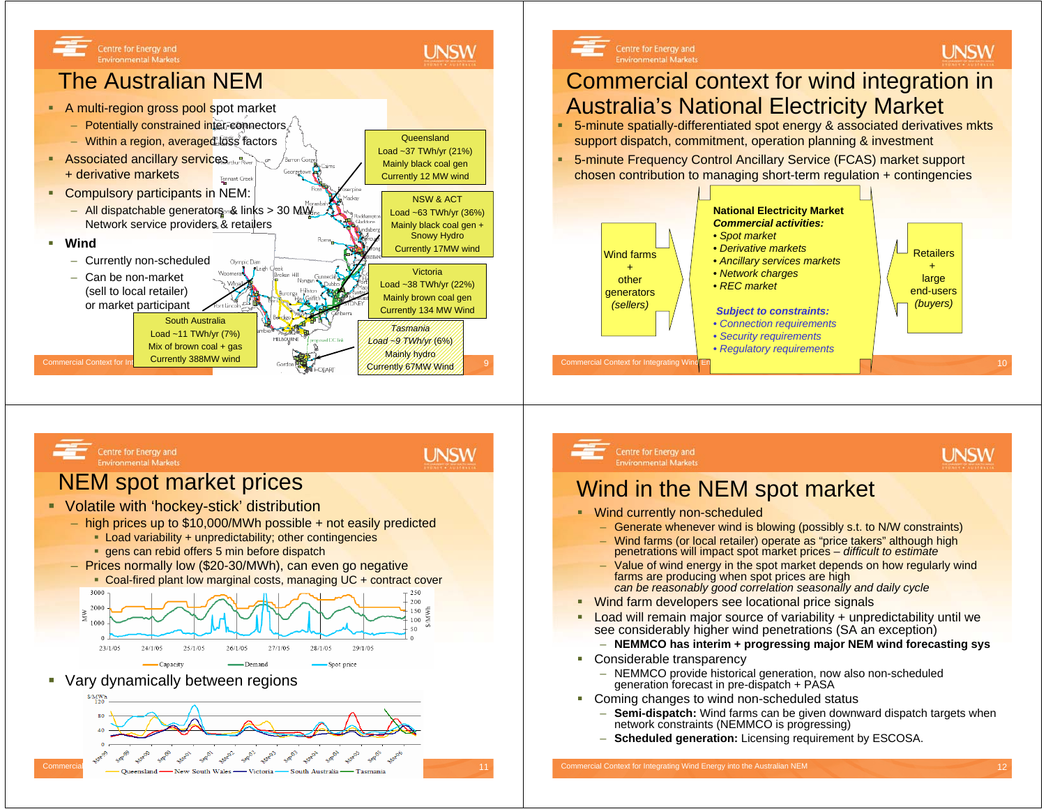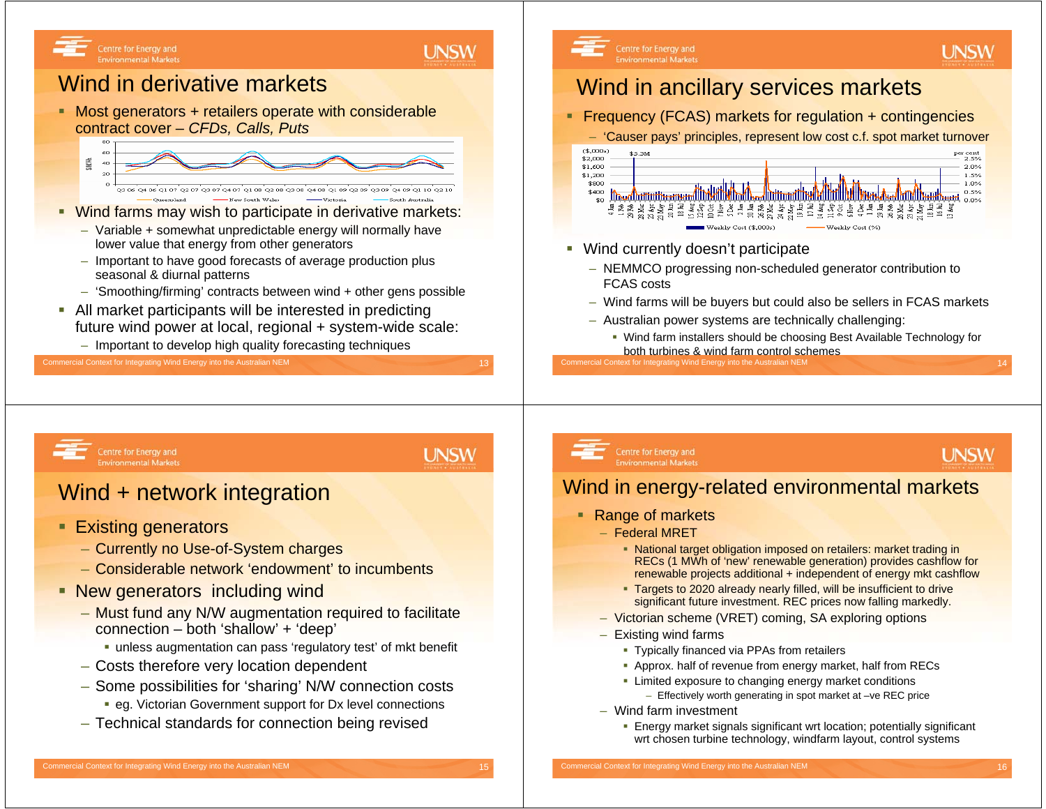### **UNSW**

**UNSW** 

# Wind in derivative markets

Centre for Energy and

**Environmental Markets** 

■ Most generators + retailers operate with considerable contract cover – *CFDs, Calls, Puts*



- **Wind farms may wish to participate in derivative markets:** 
	- Variable + somewhat unpredictable energy will normally have lower value that energy from other generators
	- Important to have good forecasts of average production plus seasonal & diurnal patterns
	- 'Smoothing/firming' contracts between wind + other gens possible
- All market participants will be interested in predicting future wind power at local, regional + system-wide scale:
	- Important to develop high quality forecasting techniques

#### Commercial Context for Integrating Wind Energy into the Australian NEM 13 and 13 and 13 and 13 and 13 and 13 and 13 and 13 and 13 and 13 and 13 and 13 and 13 and 13 and 13 and 13 and 13 and 13 and 13 and 14 and 15 and 15 a

#### Centre for Energy and **Environmental Markets**

# Wind in ancillary services markets

Frequency (FCAS) markets for regulation + contingencies

– 'Causer pays' principles, represent low cost c.f. spot market turnover



- г Wind currently doesn't participate
	- NEMMCO progressing non-scheduled generator contribution to FCAS costs
	- Wind farms will be buyers but could also be sellers in FCAS markets
	- Australian power systems are technically challenging:
		- Wind farm installers should be choosing Best Available Technology for both turbines & wind farm control schemes

nmercial Context for Integrating Wind Energy into the Australian NEM

Centre for Energy and **Environmental Markets** 

# Wind + network integration

- Existing generators
	- Currently no Use-of-System charges
	- Considerable network 'endowment' to incumbents
- **New generators including wind** 
	- Must fund any N/W augmentation required to facilitate connection – both 'shallow' <sup>+</sup>'deep'
		- unless augmentation can pass 'regulatory test' of mkt benefit
	- Costs therefore very location dependent
	- Some possibilities for 'sharing' N/W connection costs eg. Victorian Government support for Dx level connections
	- Technical standards for connection being revised

### Centre for Energy and **Environmental Markets**

# **UNSW**

**UNSW** 

## Wind in energy-related environmental markets

- Range of markets
	- Federal MRET
		- National target obligation imposed on retailers: market trading in RECs (1 MWh of 'new' renewable generation) provides cashflow for renewable projects additional + independent of energy mkt cashflow
		- **Targets to 2020 already nearly filled, will be insufficient to drive** significant future investment. REC prices now falling markedly.
	- Victorian scheme (VRET) coming, SA exploring options
	- Existing wind farms
		- Typically financed via PPAs from retailers
		- Approx. half of revenue from energy market, half from RECs
		- Limited exposure to changing energy market conditions
			- Effectively worth generating in spot market at –ve REC price
	- Wind farm investment
		- Energy market signals significant wrt location; potentially significant wrt chosen turbine technology, windfarm layout, control systems